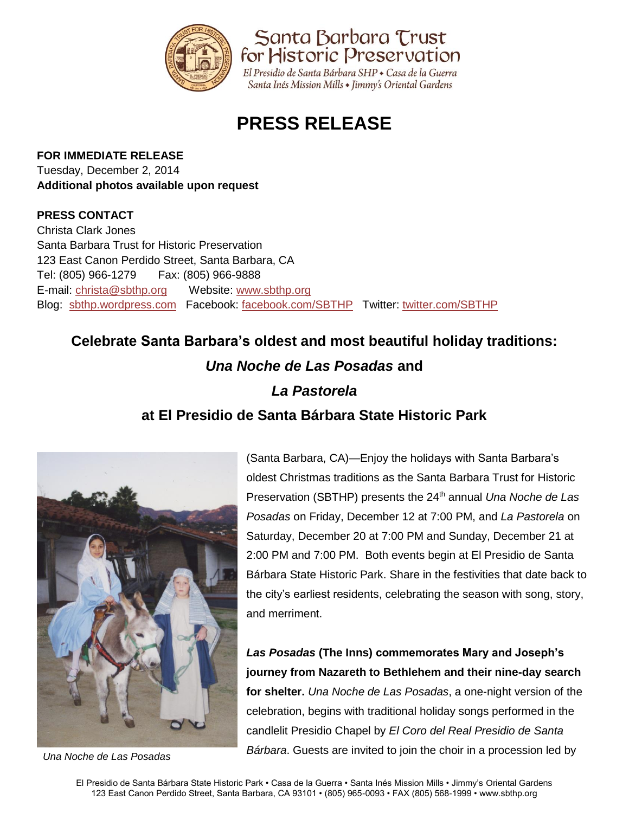

Santa Barbara Trust for Historic Preservation

El Presidio de Santa Bárbara SHP · Casa de la Guerra Santa Inés Mission Mills • Jimmy's Oriental Gardens

# **PRESS RELEASE**

### **FOR IMMEDIATE RELEASE**

Tuesday, December 2, 2014 **Additional photos available upon request**

## **PRESS CONTACT**

Christa Clark Jones Santa Barbara Trust for Historic Preservation 123 East Canon Perdido Street, Santa Barbara, CA Tel: (805) 966-1279 Fax: (805) 966-9888 E-mail: [christa@sbthp.org](mailto:christa@sbthp.org) Website: [www.sbthp.org](http://www.sbthp.org/) Blog: [sbthp.wordpress.com](http://sbthp.wordpress.com/) Facebook: [facebook.com/SBTHP](http://www.facebook.com/SBTHP) Twitter: [twitter.com/SBTHP](http://twitter.com/SBTHP)

# **Celebrate Santa Barbara's oldest and most beautiful holiday traditions:**

# *Una Noche de Las Posadas* **and**

# *La Pastorela*

# **at El Presidio de Santa Bárbara State Historic Park**



(Santa Barbara, CA)—Enjoy the holidays with Santa Barbara's oldest Christmas traditions as the Santa Barbara Trust for Historic Preservation (SBTHP) presents the 24<sup>th</sup> annual *Una Noche de Las Posadas* on Friday, December 12 at 7:00 PM, and *La Pastorela* on Saturday, December 20 at 7:00 PM and Sunday, December 21 at 2:00 PM and 7:00 PM. Both events begin at El Presidio de Santa Bárbara State Historic Park. Share in the festivities that date back to the city's earliest residents, celebrating the season with song, story, and merriment.

*Las Posadas* **(The Inns) commemorates Mary and Joseph's journey from Nazareth to Bethlehem and their nine-day search for shelter.** *Una Noche de Las Posadas*, a one-night version of the celebration, begins with traditional holiday songs performed in the candlelit Presidio Chapel by *El Coro del Real Presidio de Santa Bárbara*. Guests are invited to join the choir in a procession led by *Una Noche de Las Posadas*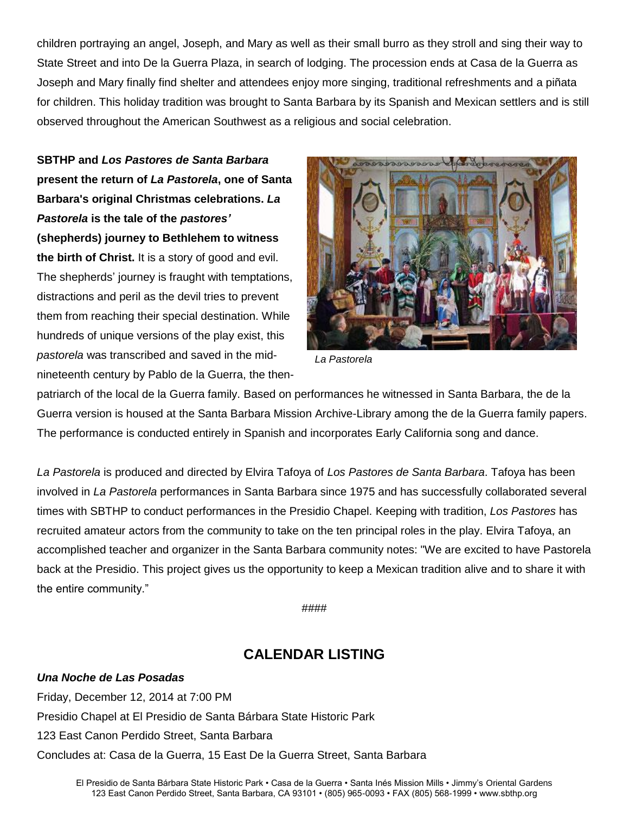children portraying an angel, Joseph, and Mary as well as their small burro as they stroll and sing their way to State Street and into De la Guerra Plaza, in search of lodging. The procession ends at Casa de la Guerra as Joseph and Mary finally find shelter and attendees enjoy more singing, traditional refreshments and a piñata for children. This holiday tradition was brought to Santa Barbara by its Spanish and Mexican settlers and is still observed throughout the American Southwest as a religious and social celebration.

**SBTHP and** *Los Pastores de Santa Barbara* **present the return of** *La Pastorela***, one of Santa Barbara's original Christmas celebrations.** *La Pastorela* **is the tale of the** *pastores'* **(shepherds) journey to Bethlehem to witness the birth of Christ.** It is a story of good and evil. The shepherds' journey is fraught with temptations, distractions and peril as the devil tries to prevent them from reaching their special destination. While hundreds of unique versions of the play exist, this *pastorela* was transcribed and saved in the midnineteenth century by Pablo de la Guerra, the then-



*La Pastorela*

patriarch of the local de la Guerra family. Based on performances he witnessed in Santa Barbara, the de la Guerra version is housed at the Santa Barbara Mission Archive-Library among the de la Guerra family papers. The performance is conducted entirely in Spanish and incorporates Early California song and dance.

*La Pastorela* is produced and directed by Elvira Tafoya of *Los Pastores de Santa Barbara*. Tafoya has been involved in *La Pastorela* performances in Santa Barbara since 1975 and has successfully collaborated several times with SBTHP to conduct performances in the Presidio Chapel. Keeping with tradition, *Los Pastores* has recruited amateur actors from the community to take on the ten principal roles in the play. Elvira Tafoya, an accomplished teacher and organizer in the Santa Barbara community notes: "We are excited to have Pastorela back at the Presidio. This project gives us the opportunity to keep a Mexican tradition alive and to share it with the entire community."

####

## **CALENDAR LISTING**

### *Una Noche de Las Posadas*

Friday, December 12, 2014 at 7:00 PM Presidio Chapel at El Presidio de Santa Bárbara State Historic Park 123 East Canon Perdido Street, Santa Barbara Concludes at: Casa de la Guerra, 15 East De la Guerra Street, Santa Barbara